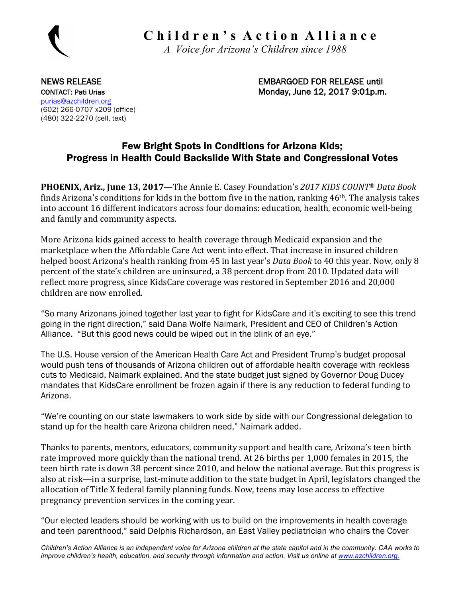

 **C h i l d r e n ' s A c t i o n A l l i a n c e**

 *A Voice for Arizona's Children since 1988*

NEWS RELEASE EXAMPLE THE SERVICE SERVICE SERVICE SERVICE SERVICE SERVICE SERVICE SERVICE SERVICE SERVICE SERVICE SERVICE SERVICE SERVICE SERVICE SERVICE SERVICE SERVICE SERVICE SERVICE SERVICE SERVICE SERVICE SERVICE SERVI CONTACT: Pati Urias CONTACT: Pati Urias CONTACT: Pati Urias CONTACT: Pati Urias CONTACT: Pati Urias CONTACT: P

purias@azchildren.org (602) 266-0707 x209 (office) (480) 322-2270 (cell, text)

## Few Bright Spots in Conditions for Arizona Kids; Progress in Health Could Backslide With State and Congressional Votes

**PHOENIX, Ariz., June 13, 2017**—The Annie E. Casey Foundation's 2017 KIDS COUNT<sup>®</sup> Data Book finds Arizona's conditions for kids in the bottom five in the nation, ranking  $46<sup>th</sup>$ . The analysis takes into account 16 different indicators across four domains: education, health, economic well-being and family and community aspects.

More Arizona kids gained access to health coverage through Medicaid expansion and the marketplace when the Affordable Care Act went into effect. That increase in insured children helped boost Arizona's health ranking from 45 in last year's *Data Book* to 40 this year. Now, only 8 percent of the state's children are uninsured, a 38 percent drop from 2010. Updated data will reflect more progress, since KidsCare coverage was restored in September 2016 and 20,000 children are now enrolled.

"So many Arizonans joined together last year to fight for KidsCare and it's exciting to see this trend going in the right direction," said Dana Wolfe Naimark, President and CEO of Children's Action Alliance. "But this good news could be wiped out in the blink of an eye."

The U.S. House version of the American Health Care Act and President Trump's budget proposal would push tens of thousands of Arizona children out of affordable health coverage with reckless cuts to Medicaid, Naimark explained. And the state budget just signed by Governor Doug Ducey mandates that KidsCare enrollment be frozen again if there is any reduction to federal funding to Arizona.

"We're counting on our state lawmakers to work side by side with our Congressional delegation to stand up for the health care Arizona children need," Naimark added.

Thanks to parents, mentors, educators, community support and health care, Arizona's teen birth rate improved more quickly than the national trend. At 26 births per 1,000 females in 2015, the teen birth rate is down 38 percent since 2010, and below the national average. But this progress is also at risk—in a surprise, last-minute addition to the state budget in April, legislators changed the allocation of Title X federal family planning funds. Now, teens may lose access to effective pregnancy prevention services in the coming year.

"Our elected leaders should be working with us to build on the improvements in health coverage and teen parenthood," said Delphis Richardson, an East Valley pediatrician who chairs the Cover

*Children's Action Alliance is an independent voice for Arizona children at the state capitol and in the community. CAA works to improve children's health, education, and security through information and action. Visit us online at www.azchildren.org.*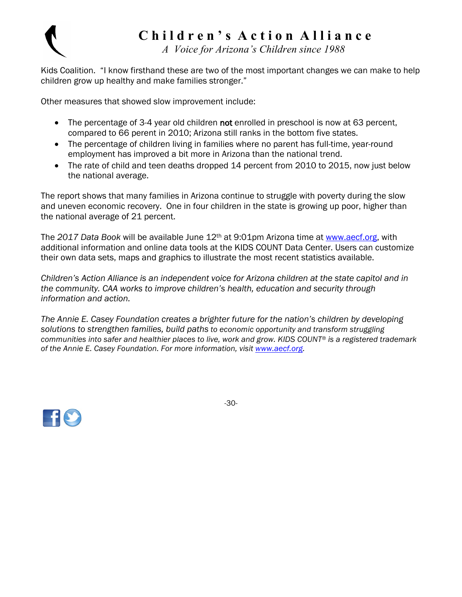

## **C h i l d r e n ' s A c t i o n A l l i a n c e**

 *A Voice for Arizona's Children since 1988*

Kids Coalition. "I know firsthand these are two of the most important changes we can make to help children grow up healthy and make families stronger."

Other measures that showed slow improvement include:

- The percentage of 3-4 year old children not enrolled in preschool is now at 63 percent, compared to 66 perent in 2010; Arizona still ranks in the bottom five states.
- The percentage of children living in families where no parent has full-time, year-round employment has improved a bit more in Arizona than the national trend.
- The rate of child and teen deaths dropped 14 percent from 2010 to 2015, now just below the national average.

The report shows that many families in Arizona continue to struggle with poverty during the slow and uneven economic recovery. One in four children in the state is growing up poor, higher than the national average of 21 percent.

The *2017 Data Book* will be available June 12th at 9:01pm Arizona time at www.aecf.org, with additional information and online data tools at the KIDS COUNT Data Center. Users can customize their own data sets, maps and graphics to illustrate the most recent statistics available.

*Children's Action Alliance is an independent voice for Arizona children at the state capitol and in the community. CAA works to improve children's health, education and security through information and action.* 

*The Annie E. Casey Foundation creates a brighter future for the nation's children by developing solutions to strengthen families, build paths to economic opportunity and transform struggling communities into safer and healthier places to live, work and grow. KIDS COUNT® is a registered trademark of the Annie E. Casey Foundation. For more information, visit www.aecf.org.* 



-30-